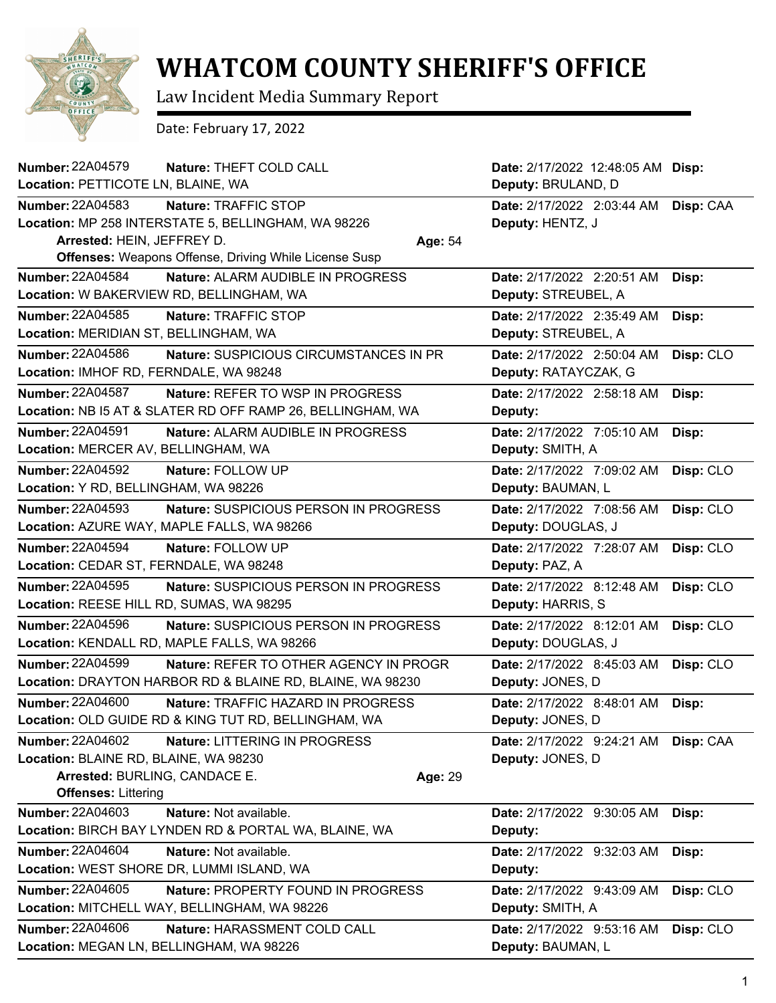

## **WHATCOM COUNTY SHERIFF'S OFFICE**

Law Incident Media Summary Report

Date: February 17, 2022

| <b>Number: 22A04579</b><br>Nature: THEFT COLD CALL                  |         | Date: 2/17/2022 12:48:05 AM Disp: |           |
|---------------------------------------------------------------------|---------|-----------------------------------|-----------|
| Location: PETTICOTE LN, BLAINE, WA                                  |         | Deputy: BRULAND, D                |           |
| <b>Number: 22A04583</b><br>Nature: TRAFFIC STOP                     |         | Date: 2/17/2022 2:03:44 AM        | Disp: CAA |
| Location: MP 258 INTERSTATE 5, BELLINGHAM, WA 98226                 |         | Deputy: HENTZ, J                  |           |
| Arrested: HEIN, JEFFREY D.                                          | Age: 54 |                                   |           |
| <b>Offenses:</b> Weapons Offense, Driving While License Susp        |         |                                   |           |
| Number: 22A04584<br>Nature: ALARM AUDIBLE IN PROGRESS               |         | Date: 2/17/2022 2:20:51 AM        | Disp:     |
| Location: W BAKERVIEW RD, BELLINGHAM, WA                            |         | Deputy: STREUBEL, A               |           |
| Number: 22A04585<br>Nature: TRAFFIC STOP                            |         | Date: 2/17/2022 2:35:49 AM        | Disp:     |
| Location: MERIDIAN ST, BELLINGHAM, WA                               |         | Deputy: STREUBEL, A               |           |
| Number: 22A04586<br><b>Nature: SUSPICIOUS CIRCUMSTANCES IN PR</b>   |         | Date: 2/17/2022 2:50:04 AM        | Disp: CLO |
| Location: IMHOF RD, FERNDALE, WA 98248                              |         | Deputy: RATAYCZAK, G              |           |
| Number: 22A04587<br><b>Nature: REFER TO WSP IN PROGRESS</b>         |         | Date: 2/17/2022 2:58:18 AM        | Disp:     |
| Location: NB I5 AT & SLATER RD OFF RAMP 26, BELLINGHAM, WA          |         | Deputy:                           |           |
| <b>Number: 22A04591</b><br><b>Nature: ALARM AUDIBLE IN PROGRESS</b> |         | Date: 2/17/2022 7:05:10 AM        | Disp:     |
| Location: MERCER AV, BELLINGHAM, WA                                 |         | Deputy: SMITH, A                  |           |
| <b>Number: 22A04592</b><br>Nature: FOLLOW UP                        |         | Date: 2/17/2022 7:09:02 AM        | Disp: CLO |
| Location: Y RD, BELLINGHAM, WA 98226                                |         | Deputy: BAUMAN, L                 |           |
| <b>Number: 22A04593</b><br>Nature: SUSPICIOUS PERSON IN PROGRESS    |         | Date: 2/17/2022 7:08:56 AM        | Disp: CLO |
| Location: AZURE WAY, MAPLE FALLS, WA 98266                          |         | Deputy: DOUGLAS, J                |           |
| <b>Number: 22A04594</b><br>Nature: FOLLOW UP                        |         | Date: 2/17/2022 7:28:07 AM        | Disp: CLO |
| Location: CEDAR ST, FERNDALE, WA 98248                              |         | Deputy: PAZ, A                    |           |
| Number: 22A04595<br>Nature: SUSPICIOUS PERSON IN PROGRESS           |         | Date: 2/17/2022 8:12:48 AM        | Disp: CLO |
| Location: REESE HILL RD, SUMAS, WA 98295                            |         | Deputy: HARRIS, S                 |           |
| <b>Number: 22A04596</b><br>Nature: SUSPICIOUS PERSON IN PROGRESS    |         | Date: 2/17/2022 8:12:01 AM        | Disp: CLO |
| Location: KENDALL RD, MAPLE FALLS, WA 98266                         |         | Deputy: DOUGLAS, J                |           |
| <b>Number: 22A04599</b><br>Nature: REFER TO OTHER AGENCY IN PROGR   |         | Date: 2/17/2022 8:45:03 AM        | Disp: CLO |
| Location: DRAYTON HARBOR RD & BLAINE RD, BLAINE, WA 98230           |         | Deputy: JONES, D                  |           |
| <b>Number: 22A04600</b><br>Nature: TRAFFIC HAZARD IN PROGRESS       |         | Date: 2/17/2022 8:48:01 AM        | Disp:     |
| Location: OLD GUIDE RD & KING TUT RD, BELLINGHAM, WA                |         | Deputy: JONES, D                  |           |
| <b>Number: 22A04602</b><br>Nature: LITTERING IN PROGRESS            |         | Date: 2/17/2022 9:24:21 AM        | Disp: CAA |
| Location: BLAINE RD, BLAINE, WA 98230                               |         | Deputy: JONES, D                  |           |
| Arrested: BURLING, CANDACE E.                                       | Age: 29 |                                   |           |
| <b>Offenses: Littering</b>                                          |         |                                   |           |
| Number: 22A04603<br>Nature: Not available.                          |         | Date: 2/17/2022 9:30:05 AM        | Disp:     |
| Location: BIRCH BAY LYNDEN RD & PORTAL WA, BLAINE, WA               |         | Deputy:                           |           |
| <b>Number: 22A04604</b><br>Nature: Not available.                   |         | Date: 2/17/2022 9:32:03 AM        | Disp:     |
| Location: WEST SHORE DR, LUMMI ISLAND, WA                           |         | Deputy:                           |           |
| Number: 22A04605<br>Nature: PROPERTY FOUND IN PROGRESS              |         | Date: 2/17/2022 9:43:09 AM        | Disp: CLO |
| Location: MITCHELL WAY, BELLINGHAM, WA 98226                        |         | Deputy: SMITH, A                  |           |
| <b>Number: 22A04606</b><br>Nature: HARASSMENT COLD CALL             |         | Date: 2/17/2022 9:53:16 AM        | Disp: CLO |
| Location: MEGAN LN, BELLINGHAM, WA 98226                            |         | Deputy: BAUMAN, L                 |           |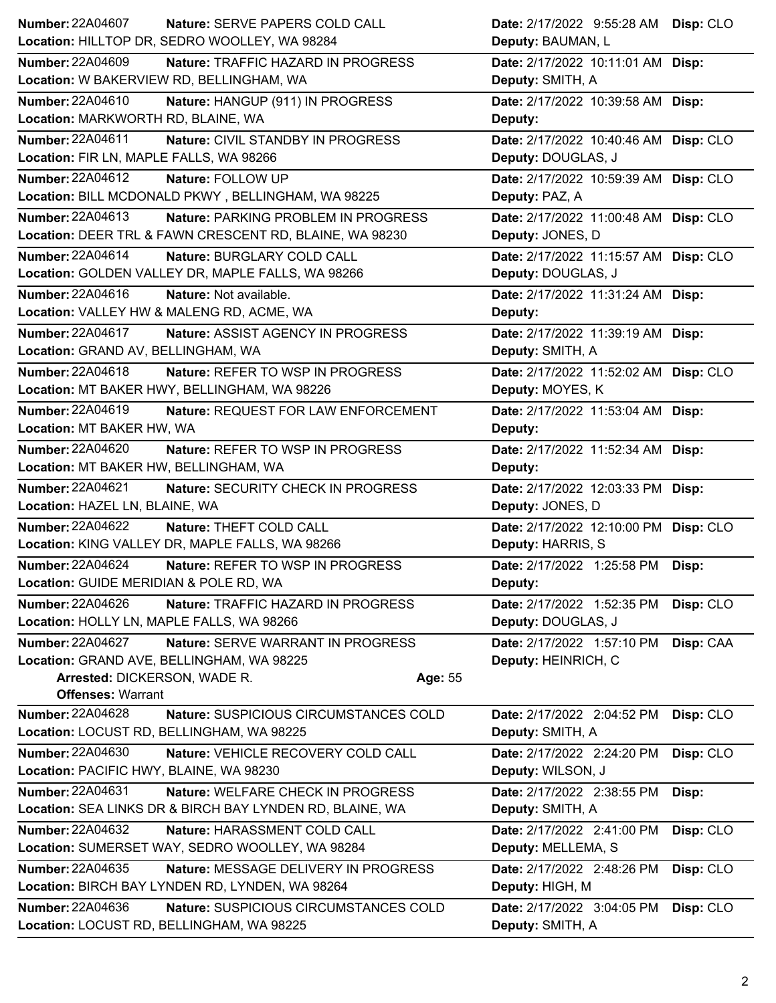| <b>Number: 22A04607</b><br>Nature: SERVE PAPERS COLD CALL        | Date: 2/17/2022 9:55:28 AM Disp: CLO    |
|------------------------------------------------------------------|-----------------------------------------|
| Location: HILLTOP DR, SEDRO WOOLLEY, WA 98284                    | Deputy: BAUMAN, L                       |
| <b>Number: 22A04609</b><br>Nature: TRAFFIC HAZARD IN PROGRESS    | Date: 2/17/2022 10:11:01 AM Disp:       |
| Location: W BAKERVIEW RD, BELLINGHAM, WA                         | Deputy: SMITH, A                        |
| Number: 22A04610<br>Nature: HANGUP (911) IN PROGRESS             | Date: 2/17/2022 10:39:58 AM Disp:       |
| Location: MARKWORTH RD, BLAINE, WA                               | Deputy:                                 |
| Number: 22A04611<br>Nature: CIVIL STANDBY IN PROGRESS            | Date: 2/17/2022 10:40:46 AM Disp: CLO   |
| Location: FIR LN, MAPLE FALLS, WA 98266                          | Deputy: DOUGLAS, J                      |
| Number: 22A04612<br>Nature: FOLLOW UP                            | Date: 2/17/2022 10:59:39 AM Disp: CLO   |
| Location: BILL MCDONALD PKWY, BELLINGHAM, WA 98225               | Deputy: PAZ, A                          |
| Number: 22A04613<br>Nature: PARKING PROBLEM IN PROGRESS          | Date: 2/17/2022 11:00:48 AM Disp: CLO   |
| Location: DEER TRL & FAWN CRESCENT RD, BLAINE, WA 98230          | Deputy: JONES, D                        |
| Number: 22A04614<br>Nature: BURGLARY COLD CALL                   | Date: 2/17/2022 11:15:57 AM Disp: CLO   |
| Location: GOLDEN VALLEY DR, MAPLE FALLS, WA 98266                | Deputy: DOUGLAS, J                      |
| Number: 22A04616<br>Nature: Not available.                       | Date: 2/17/2022 11:31:24 AM Disp:       |
| Location: VALLEY HW & MALENG RD, ACME, WA                        | Deputy:                                 |
| <b>Number: 22A04617</b><br>Nature: ASSIST AGENCY IN PROGRESS     | Date: 2/17/2022 11:39:19 AM Disp:       |
| Location: GRAND AV, BELLINGHAM, WA                               | Deputy: SMITH, A                        |
| Number: 22A04618<br>Nature: REFER TO WSP IN PROGRESS             | Date: 2/17/2022 11:52:02 AM Disp: CLO   |
| Location: MT BAKER HWY, BELLINGHAM, WA 98226                     | Deputy: MOYES, K                        |
| Number: 22A04619<br>Nature: REQUEST FOR LAW ENFORCEMENT          | Date: 2/17/2022 11:53:04 AM Disp:       |
| Location: MT BAKER HW, WA                                        | Deputy:                                 |
| Number: 22A04620<br>Nature: REFER TO WSP IN PROGRESS             | Date: 2/17/2022 11:52:34 AM Disp:       |
| Location: MT BAKER HW, BELLINGHAM, WA                            | Deputy:                                 |
| Number: 22A04621<br>Nature: SECURITY CHECK IN PROGRESS           | Date: 2/17/2022 12:03:33 PM Disp:       |
| Location: HAZEL LN, BLAINE, WA                                   | Deputy: JONES, D                        |
| <b>Number: 22A04622</b><br>Nature: THEFT COLD CALL               | Date: 2/17/2022 12:10:00 PM Disp: CLO   |
| Location: KING VALLEY DR, MAPLE FALLS, WA 98266                  | Deputy: HARRIS, S                       |
| Number: 22A04624<br>Nature: REFER TO WSP IN PROGRESS             | Date: 2/17/2022 1:25:58 PM Disp:        |
| Location: GUIDE MERIDIAN & POLE RD, WA                           | <b>Deputy:</b>                          |
| Number: 22A04626<br>Nature: TRAFFIC HAZARD IN PROGRESS           | Disp: CLO<br>Date: 2/17/2022 1:52:35 PM |
| Location: HOLLY LN, MAPLE FALLS, WA 98266                        | Deputy: DOUGLAS, J                      |
| Number: 22A04627<br>Nature: SERVE WARRANT IN PROGRESS            | Date: 2/17/2022 1:57:10 PM<br>Disp: CAA |
| Location: GRAND AVE, BELLINGHAM, WA 98225                        | Deputy: HEINRICH, C                     |
| Arrested: DICKERSON, WADE R.<br>Age: 55                          |                                         |
| <b>Offenses: Warrant</b>                                         |                                         |
| <b>Number: 22A04628</b><br>Nature: SUSPICIOUS CIRCUMSTANCES COLD | Disp: CLO<br>Date: 2/17/2022 2:04:52 PM |
| Location: LOCUST RD, BELLINGHAM, WA 98225                        | Deputy: SMITH, A                        |
| <b>Number: 22A04630</b><br>Nature: VEHICLE RECOVERY COLD CALL    | Disp: CLO<br>Date: 2/17/2022 2:24:20 PM |
| Location: PACIFIC HWY, BLAINE, WA 98230                          | Deputy: WILSON, J                       |
| Number: 22A04631<br>Nature: WELFARE CHECK IN PROGRESS            | Date: 2/17/2022 2:38:55 PM<br>Disp:     |
| Location: SEA LINKS DR & BIRCH BAY LYNDEN RD, BLAINE, WA         | Deputy: SMITH, A                        |
| Number: 22A04632<br>Nature: HARASSMENT COLD CALL                 | Date: 2/17/2022 2:41:00 PM<br>Disp: CLO |
|                                                                  |                                         |
| Location: SUMERSET WAY, SEDRO WOOLLEY, WA 98284                  | Deputy: MELLEMA, S                      |
| <b>Number: 22A04635</b><br>Nature: MESSAGE DELIVERY IN PROGRESS  | Date: 2/17/2022 2:48:26 PM<br>Disp: CLO |
| Location: BIRCH BAY LYNDEN RD, LYNDEN, WA 98264                  | Deputy: HIGH, M                         |
| Number: 22A04636<br>Nature: SUSPICIOUS CIRCUMSTANCES COLD        | Date: 2/17/2022 3:04:05 PM<br>Disp: CLO |